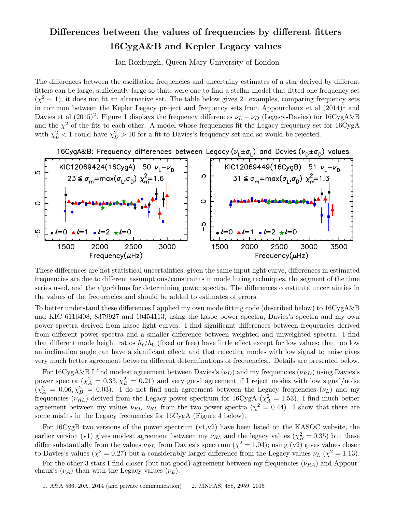# Differences between the values of frequencies by different fitters 16CygA&B and Kepler Legacy values

Ian Roxburgh, Queen Mary University of London

The differences between the oscillation frequencies and uncertainy estimates of a star derived by different fitters can be large, sufficiently large so that, were one to find a stellar model that fitted one frequency set  $(\chi^2 \sim 1)$ , it does not fit an alternative set. The table below gives 21 examples, comparing frequency sets in common between the Kepler Legacy project and frequency sets from Appourchaux et al  $(2014)^1$  and Davies et al  $(2015)^2$ . Figure 1 displays the frequency differences  $\nu_L - \nu_D$  (Legacy-Davies) for 16CygA&B and the  $\chi^2$  of the fits to each other. A model whose frequencies fit the Legacy frequency set for 16CygA with  $\chi^2_L < 1$  could have  $\chi^2_D > 10$  for a fit to Davies's frequency set and so would be rejected.





These differences are not statistical uncertainties; given the same input light curve, differences in estimated frequencies are due to different assumptions/constraints in mode fitting techniques, the segment of the time series used, and the algorithms for determining power spectra. The differences constitute uncertainties in the values of the frequencies and should be added to estimates of errors.

To better understand these differences I applied my own mode fitting code (described below) to 16CygA&B and KIC 6116408, 8379927 and 10454113, using the kasoc power spectra, Davies's spectra and my own power spectra derived from kasoc light curves. I find significant differences between frequencies derived from different power spectra and a smaller difference between weighted and unweighted spectra. I find that different mode height ratios  $h_{\ell}/h_0$  (fixed or free) have little effect except for low values; that too low an inclination angle can have a significant effect; and that rejecting modes with low signal to noise gives very much better agreement between different determinations of frequencies.. Details are presented below.

For 16CygA&B I find modest agreement between Davies's  $(\nu_D)$  and my frequencies  $(\nu_{RD})$  using Davies's power spectra  $(\chi_A^2 = 0.33, \chi_B^2 = 0.21)$  and very good agreement if I reject modes with low signal/noise  $(\chi_A^2 = 0.06, \chi_B^2 = 0.03)$ . I do not find such agreement between the Legacy frequencies  $(\nu_L)$  and my frequencies  $(\nu_{RL})$  derived from the Legacy power spectrum for  $16CygA$   $(\chi^2_A = 1.53)$ . I find much better agreement between my values  $\nu_{RD}, \nu_{RL}$  from the two power spectra  $(\chi^2 = 0.44)$ . I show that there are some misfits in the Legacy frequencies for 16CygA (Figure 4 below).

For 16CygB two versions of the power spectrum  $(v1,v2)$  have been listed on the KASOC website, the earlier version (v1) gives modest agreement between my  $\nu_{RL}$  and the legacy values ( $\chi^2_B = 0.35$ ) but these differ substantially from the values  $\nu_{RD}$  from Davies's spectrum  $(\chi^2 = 1.04)$ ; using  $(v2)$  gives values closer to Davies's values ( $\chi^2 = 0.27$ ) but a considerably larger difference from the Legacy values  $\nu_L$  ( $\chi^2 = 1.13$ ).

For the other 3 stars I find closer (but not good) agreement between my frequencies  $(\nu_{RA})$  and Appourchaux's  $(\nu_A)$  than with the Legacy values  $(\nu_L)$ .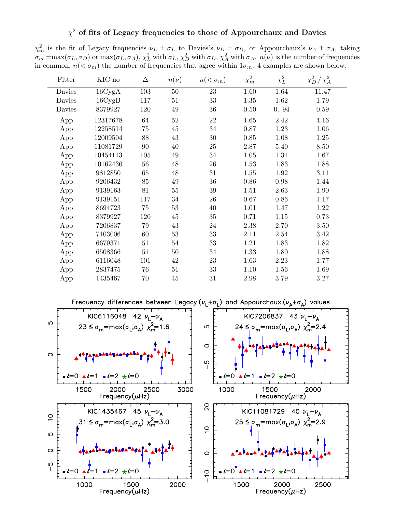## $\chi^2$  of fits of Legacy frequencies to those of Appourchaux and Davies

 $\chi^2_m$  is the fit of Legacy frequencies  $\nu_L \pm \sigma_L$  to Davies's  $\nu_D \pm \sigma_D$ , or Appourchaux's  $\nu_A \pm \sigma_A$ , taking  $\sigma_m = \max(\sigma_L, \sigma_D)$  or  $\max(\sigma_L, \sigma_A)$ ,  $\chi_L^2$  with  $\sigma_L$ ,  $\chi_D^2$  with  $\sigma_D$ ,  $\chi_A^2$  with  $\sigma_A$ .  $n(\nu)$  is the number of frequencies in common,  $n( $\sigma_m$ ) the number of frequencies that agree within  $1\sigma_m$ . 4 examples are shown below.$ 

| Fitter | KIC no   | Δ   | $n(\nu)$ | $n(<\sigma_m)$ | $\chi^2_m$        | $\chi^2_L$        | $\chi_D^2/\chi_A^2$ |
|--------|----------|-----|----------|----------------|-------------------|-------------------|---------------------|
| Davies | 16CygA   | 103 | $50\,$   | 23             | $\overline{1.60}$ | $\overline{1.64}$ | 11.47               |
| Davies | 16CygB   | 117 | $51\,$   | 33             | 1.35              | 1.62              | 1.79                |
| Davies | 8379927  | 120 | 49       | 36             | 0.50              | 0.94              | 0.59                |
| App    | 12317678 | 64  | $52\,$   | 22             | 1.65              | $\overline{2.42}$ | 4.16                |
| App    | 12258514 | 75  | $45\,$   | 34             | 0.87              | 1.23              | 1.06                |
| App    | 12009504 | 88  | $43\,$   | 30             | 0.85              | 1.08              | 1.25                |
| App    | 11081729 | 90  | 40       | 25             | 2.87              | 5.40              | 8.50                |
| App    | 10454113 | 105 | 49       | 34             | 1.05              | 1.31              | 1.67                |
| App    | 10162436 | 56  | 48       | 26             | 1.53              | 1.83              | 1.88                |
| App    | 9812850  | 65  | $48\,$   | 31             | 1.55              | 1.92              | 3.11                |
| App    | 9206432  | 85  | $49\,$   | 36             | 0.86              | 0.98              | 1.44                |
| App    | 9139163  | 81  | $55\,$   | 39             | 1.51              | 2.63              | 1.90                |
| App    | 9139151  | 117 | 34       | 26             | 0.67              | 0.86              | 1.17                |
| App    | 8694723  | 75  | $53\,$   | 40             | 1.01              | 1.47              | 1.22                |
| App    | 8379927  | 120 | 45       | 35             | 0.71              | 1.15              | 0.73                |
| App    | 7206837  | 79  | 43       | 24             | 2.38              | 2.70              | 3.50                |
| App    | 7103006  | 60  | 53       | 33             | 2.11              | 2.54              | 3.42                |
| App    | 6679371  | 51  | $54\,$   | 33             | 1.21              | 1.83              | 1.82                |
| App    | 6508366  | 51  | $50\,$   | 34             | 1.33              | 1.80              | 1.88                |
| App    | 6116048  | 101 | 42       | 23             | 1.63              | 2.23              | 1.77                |
| App    | 2837475  | 76  | 51       | 33             | 1.10              | 1.56              | 1.69                |
| App    | 1435467  | 70  | 45       | 31             | 2.98              | 3.79              | 3.27                |

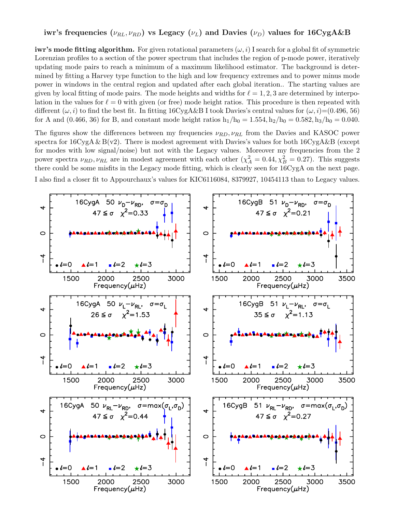# iwr's frequencies ( $\nu_{RL}$ ,  $\nu_{RD}$ ) vs Legacy ( $\nu_L$ ) and Davies ( $\nu_D$ ) values for 16CygA&B

iwr's mode fitting algorithm. For given rotational parameters  $(\omega, i)$  I search for a global fit of symmetric Lorenzian profiles to a section of the power spectrum that includes the region of p-mode power, iteratively updating mode pairs to reach a minimum of a maximum likelihood estimator. The background is determined by fitting a Harvey type function to the high and low frequency extremes and to power minus mode power in windows in the central region and updated after each global iteration.. The starting values are given by local fitting of mode pairs. The mode heights and widths for  $\ell = 1, 2, 3$  are determined by interpolation in the values for  $\ell = 0$  with given (or free) mode height ratios. This procedure is then repeated with different  $(\omega, i)$  to find the best fit. In fitting 16CygA&B I took Davies's central values for  $(\omega, i)$ =(0.496, 56) for A and (0.466, 36) for B, and constant mode height ratios  $h_1/h_0 = 1.554$ ,  $h_2/h_0 = 0.582$ ,  $h_3/h_0 = 0.040$ .

The figures show the differences between my frequencies  $\nu_{RD}, \nu_{RL}$  from the Davies and KASOC power spectra for  $16CygA & B(v2)$ . There is modest agreement with Davies's values for both  $16CygA&B$  (except for modes with low signal/noise) but not with the Legacy values. Moreover my frequencies from the 2 power spectra  $\nu_{RD}$ ,  $\nu_{RL}$  are in modest agreement with each other  $(\chi_A^2 = 0.44, \chi_B^2 = 0.27)$ . This suggests there could be some misfits in the Legacy mode fitting, which is clearly seen for 16CygA on the next page. I also find a closer fit to Appourchaux's values for KIC6116084, 8379927, 10454113 than to Legacy values.

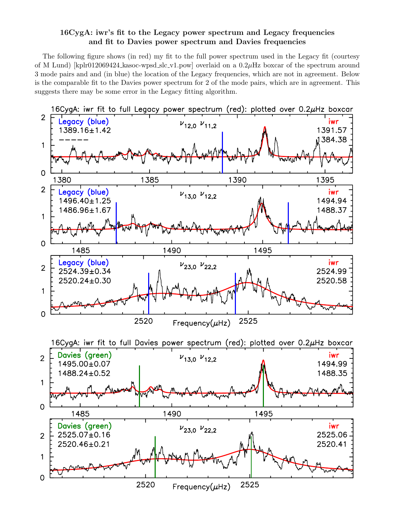## 16CygA: iwr's fit to the Legacy power spectrum and Legacy frequencies and fit to Davies power spectrum and Davies frequencies

The following figure shows (in red) my fit to the full power spectrum used in the Legacy fit (courtesy of M Lund) [kplr012069424 kasoc-wpsd slc v1.pow] overlaid on a  $0.2 \mu$ Hz boxcar of the spectrum around 3 mode pairs and and (in blue) the location of the Legacy frequencies, which are not in agreement. Below is the comparable fit to the Davies power spectrum for 2 of the mode pairs, which are in agreement. This suggests there may be some error in the Legacy fitting algorithm.

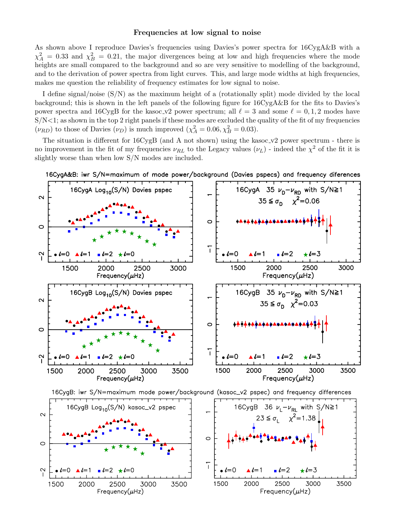#### Frequencies at low signal to noise

As shown above I reproduce Davies's frequencies using Davies's power spectra for 16CygA&B with a  $\chi_A^2 = 0.33$  and  $\chi_B^2 = 0.21$ , the major divergences being at low and high frequencies where the mode heights are small compared to the background and so are very sensitive to modelling of the background, and to the derivation of power spectra from light curves. This, and large mode widths at high frequencies, makes me question the reliability of frequency estimates for low signal to noise.

I define signal/noise (S/N) as the maximum height of a (rotationally split) mode divided by the local background; this is shown in the left panels of the following figure for 16CygA&B for the fits to Davies's power spectra and 16CygB for the kasoc\_v2 power spectrum; all  $\ell = 3$  and some  $\ell = 0, 1, 2$  modes have  $S/N<1$ ; as shown in the top 2 right panels if these modes are excluded the quality of the fit of my frequencies  $(\nu_{RD})$  to those of Davies  $(\nu_D)$  is much improved  $(\chi_A^2 = 0.06, \chi_B^2 = 0.03)$ .

The situation is different for  $16CygB$  (and A not shown) using the kasoc\_v2 power spectrum - there is no improvement in the fit of my frequencies  $\nu_{RL}$  to the Legacy values  $(\nu_L)$  - indeed the  $\chi^2$  of the fit it is slightly worse than when low S/N modes are included.



16CygA&B: iwr S/N=maximum of mode power/background (Davies pspecs) and frequency diferences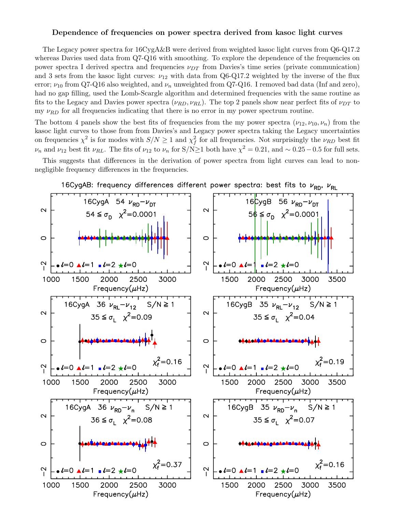#### Dependence of frequencies on power spectra derived from kasoc light curves

The Legacy power spectra for 16CygA&B were derived from weighted kasoc light curves from Q6-Q17.2 whereas Davies used data from Q7-Q16 with smoothing. To explore the dependence of the frequencies on power spectra I derived spectra and frequencies  $\nu_{DT}$  from Davies's time series (private communication) and 3 sets from the kasoc light curves:  $\nu_{12}$  with data from Q6-Q17.2 weighted by the inverse of the flux error;  $\nu_{10}$  from Q7-Q16 also weighted, and  $\nu_n$  unweighted from Q7-Q16. I removed bad data (Inf and zero), had no gap filling, used the Lomb-Scargle algorithm and determined frequencies with the same routine as fits to the Legacy and Davies power spectra  $(\nu_{RD}, \nu_{RL})$ . The top 2 panels show near perfect fits of  $\nu_{DT}$  to my  $\nu_{RD}$  for all frequencies indicating that there is no error in my power spectrum routine.

The bottom 4 panels show the best fits of frequencies from the my power spectra  $(\nu_{12}, \nu_{10}, \nu_n)$  from the kasoc light curves to those from from Davies's and Legacy power spectra taking the Legacy uncertainties on frequencies  $\chi^2$  is for modes with  $S/N \ge 1$  and  $\chi_f^2$  for all frequencies. Not surprisingly the  $\nu_{RD}$  best fit  $\nu_n$  and  $\nu_{12}$  best fit  $\nu_{RL}$ . The fits of  $\nu_{12}$  to  $\nu_n$  for S/N≥1 both have  $\chi^2 = 0.21$ , and  $\sim 0.25 - 0.5$  for full sets.

This suggests that differences in the derivation of power spectra from light curves can lead to nonnegligible frequency differences in the frequencies.



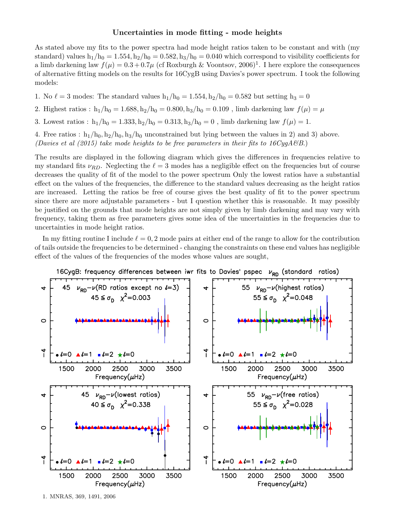## Uncertainties in mode fitting - mode heights

As stated above my fits to the power spectra had mode height ratios taken to be constant and with (my standard) values  $h_1/h_0 = 1.554$ ,  $h_2/h_0 = 0.582$ ,  $h_3/h_0 = 0.040$  which correspond to visibility coefficients for a limb darkening law  $f(\mu) = 0.3 + 0.7\mu$  (cf Roxburgh & Voontsov, 2006)<sup>1</sup>. I here explore the consequences of alternative fitting models on the results for 16CygB using Davies's power spectrum. I took the following models:

- 1. No  $\ell = 3$  modes: The standard values  $h_1/h_0 = 1.554, h_2/h_0 = 0.582$  but setting  $h_3 = 0$
- 2. Highest ratios :  $h_1/h_0 = 1.688, h_2/h_0 = 0.800, h_3/h_0 = 0.109$ , limb darkening law  $f(\mu) = \mu$
- 3. Lowest ratios :  $h_1/h_0 = 1.333, h_2/h_0 = 0.313, h_3/h_0 = 0$ , limb darkening law  $f(\mu) = 1$ .

4. Free ratios :  $h_1/h_0$ ,  $h_2/h_0$ ,  $h_3/h_0$  unconstrained but lying between the values in 2) and 3) above. (Davies et al (2015) take mode heights to be free parameters in their fits to  $16CygA\mathscr{B}B$ .)

The results are displayed in the following diagram which gives the differences in frequencies relative to my standard fits  $\nu_{RD}$ . Neglecting the  $\ell = 3$  modes has a negligible effect on the frequencies but of course decreases the quality of fit of the model to the power spectrum Only the lowest ratios have a substantial effect on the values of the frequencies, the difference to the standard values decreasing as the height ratios are increased. Letting the ratios be free of course gives the best quality of fit to the power spectrum since there are more adjustable parameters - but I question whether this is reasonable. It may possibly be justified on the grounds that mode heights are not simply given by limb darkening and may vary with frequency, taking them as free parameters gives some idea of the uncertainties in the frequencies due to uncertainties in mode height ratios.

In my fitting routine I include  $\ell = 0, 2$  mode pairs at either end of the range to allow for the contribution of tails outside the frequencies to be determined - changing the constraints on these end values has negligible effect of the values of the frequencies of the modes whose values are sought,